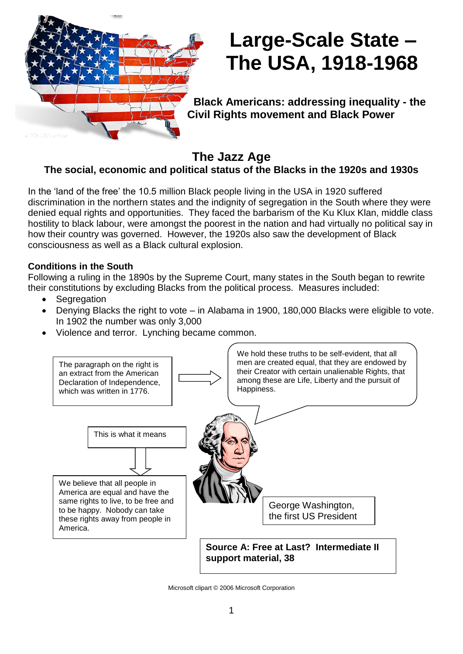

# **Large-Scale State – The USA, 1918-1968**

**Black Americans: addressing inequality - the Civil Rights movement and Black Power**

**The Jazz Age**

# **The social, economic and political status of the Blacks in the 1920s and 1930s**

In the 'land of the free' the 10.5 million Black people living in the USA in 1920 suffered discrimination in the northern states and the indignity of segregation in the South where they were denied equal rights and opportunities. They faced the barbarism of the Ku Klux Klan, middle class hostility to black labour, were amongst the poorest in the nation and had virtually no political say in how their country was governed. However, the 1920s also saw the development of Black consciousness as well as a Black cultural explosion.

# **Conditions in the South**

Following a ruling in the 1890s by the Supreme Court, many states in the South began to rewrite their constitutions by excluding Blacks from the political process. Measures included:

- Segregation
- Denying Blacks the right to vote in Alabama in 1900, 180,000 Blacks were eligible to vote. In 1902 the number was only 3,000
- Violence and terror. Lynching became common.



Microsoft clipart © 2006 Microsoft Corporation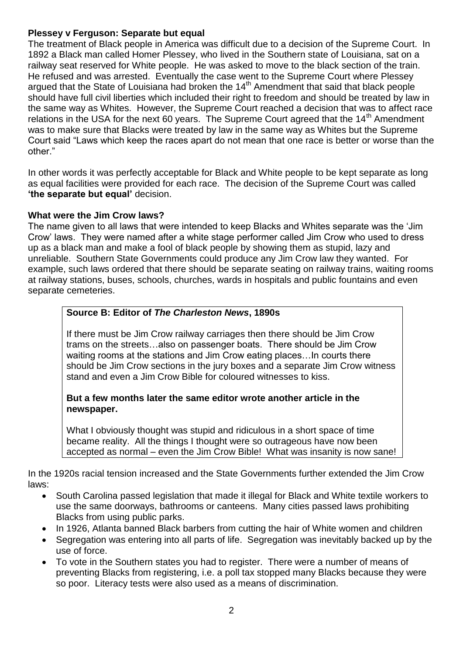#### **Plessey v Ferguson: Separate but equal**

The treatment of Black people in America was difficult due to a decision of the Supreme Court. In 1892 a Black man called Homer Plessey, who lived in the Southern state of Louisiana, sat on a railway seat reserved for White people. He was asked to move to the black section of the train. He refused and was arrested. Eventually the case went to the Supreme Court where Plessey argued that the State of Louisiana had broken the 14<sup>th</sup> Amendment that said that black people should have full civil liberties which included their right to freedom and should be treated by law in the same way as Whites. However, the Supreme Court reached a decision that was to affect race relations in the USA for the next 60 years. The Supreme Court agreed that the  $14<sup>th</sup>$  Amendment was to make sure that Blacks were treated by law in the same way as Whites but the Supreme Court said "Laws which keep the races apart do not mean that one race is better or worse than the other."

In other words it was perfectly acceptable for Black and White people to be kept separate as long as equal facilities were provided for each race. The decision of the Supreme Court was called **'the separate but equal'** decision.

#### **What were the Jim Crow laws?**

The name given to all laws that were intended to keep Blacks and Whites separate was the 'Jim Crow' laws. They were named after a white stage performer called Jim Crow who used to dress up as a black man and make a fool of black people by showing them as stupid, lazy and unreliable. Southern State Governments could produce any Jim Crow law they wanted. For example, such laws ordered that there should be separate seating on railway trains, waiting rooms at railway stations, buses, schools, churches, wards in hospitals and public fountains and even separate cemeteries.

#### **Source B: Editor of** *The Charleston News***, 1890s**

If there must be Jim Crow railway carriages then there should be Jim Crow trams on the streets…also on passenger boats. There should be Jim Crow waiting rooms at the stations and Jim Crow eating places…In courts there should be Jim Crow sections in the jury boxes and a separate Jim Crow witness stand and even a Jim Crow Bible for coloured witnesses to kiss.

#### **But a few months later the same editor wrote another article in the newspaper.**

What I obviously thought was stupid and ridiculous in a short space of time became reality. All the things I thought were so outrageous have now been accepted as normal – even the Jim Crow Bible! What was insanity is now sane!

In the 1920s racial tension increased and the State Governments further extended the Jim Crow laws:

- South Carolina passed legislation that made it illegal for Black and White textile workers to use the same doorways, bathrooms or canteens. Many cities passed laws prohibiting Blacks from using public parks.
- In 1926, Atlanta banned Black barbers from cutting the hair of White women and children
- Segregation was entering into all parts of life. Segregation was inevitably backed up by the use of force.
- To vote in the Southern states you had to register. There were a number of means of preventing Blacks from registering, i.e. a poll tax stopped many Blacks because they were so poor. Literacy tests were also used as a means of discrimination.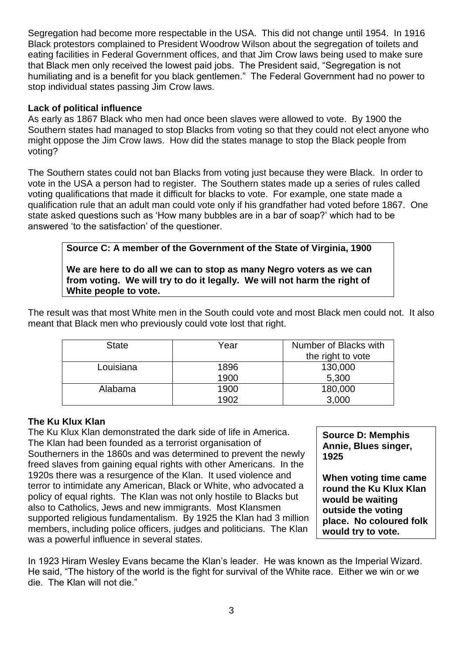Segregation had become more respectable in the USA. This did not change until 1954. In 1916 Black protestors complained to President Woodrow Wilson about the segregation of toilets and eating facilities in Federal Government offices, and that Jim Crow laws being used to make sure that Black men only received the lowest paid jobs. The President said, "Segregation is not humiliating and is a benefit for you black gentlemen." The Federal Government had no power to stop individual states passing Jim Crow laws.

#### **Lack of political influence**

As early as 1867 Black who men had once been slaves were allowed to vote. By 1900 the Southern states had managed to stop Blacks from voting so that they could not elect anyone who might oppose the Jim Crow laws. How did the states manage to stop the Black people from voting?

The Southern states could not ban Blacks from voting just because they were Black. In order to vote in the USA a person had to register. The Southern states made up a series of rules called voting qualifications that made it difficult for blacks to vote. For example, one state made a qualification rule that an adult man could vote only if his grandfather had voted before 1867. One state asked questions such as 'How many bubbles are in a bar of soap?' which had to be answered 'to the satisfaction' of the questioner.

**We are here to do all we can to stop as many Negro voters as we can from voting. We will try to do it legally. We will not harm the right of White people to vote.**

**Source C: A member of the Government of the State of Virginia, 1900**

The result was that most White men in the South could vote and most Black men could not. It also meant that Black men who previously could vote lost that right.

| <b>State</b> | Year         | Number of Blacks with<br>the right to vote |
|--------------|--------------|--------------------------------------------|
| Louisiana    | 1896<br>1900 | 130,000<br>5,300                           |
| Alabama      | 1900<br>1902 | 180,000<br>3,000                           |

#### **The Ku Klux Klan**

The Ku Klux Klan demonstrated the dark side of life in America. The Klan had been founded as a terrorist organisation of Southerners in the 1860s and was determined to prevent the newly freed slaves from gaining equal rights with other Americans. In the 1920s there was a resurgence of the Klan. It used violence and terror to intimidate any American, Black or White, who advocated a policy of equal rights. The Klan was not only hostile to Blacks but also to Catholics, Jews and new immigrants. Most Klansmen supported religious fundamentalism. By 1925 the Klan had 3 million members, including police officers, judges and politicians. The Klan was a powerful influence in several states.

**Source D: Memphis Annie, Blues singer, 1925**

**When voting time came round the Ku Klux Klan would be waiting outside the voting place. No coloured folk would try to vote.**

In 1923 Hiram Wesley Evans became the Klan's leader. He was known as the Imperial Wizard. He said, "The history of the world is the fight for survival of the White race. Either we win or we die. The Klan will not die."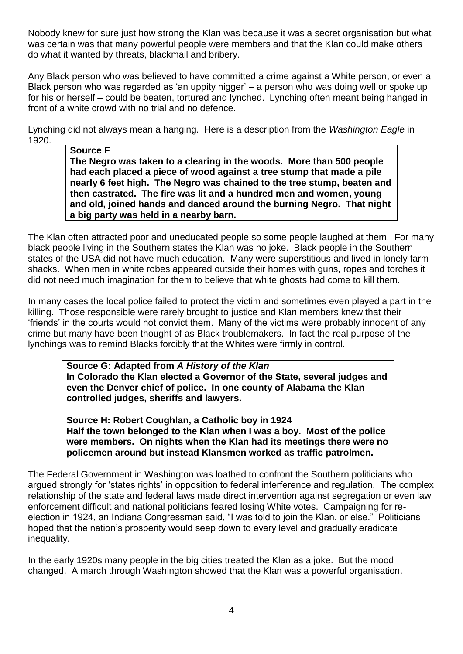Nobody knew for sure just how strong the Klan was because it was a secret organisation but what was certain was that many powerful people were members and that the Klan could make others do what it wanted by threats, blackmail and bribery.

Any Black person who was believed to have committed a crime against a White person, or even a Black person who was regarded as 'an uppity nigger' – a person who was doing well or spoke up for his or herself – could be beaten, tortured and lynched. Lynching often meant being hanged in front of a white crowd with no trial and no defence.

Lynching did not always mean a hanging. Here is a description from the *Washington Eagle* in 1920.

**Source F The Negro was taken to a clearing in the woods. More than 500 people had each placed a piece of wood against a tree stump that made a pile nearly 6 feet high. The Negro was chained to the tree stump, beaten and then castrated. The fire was lit and a hundred men and women, young and old, joined hands and danced around the burning Negro. That night a big party was held in a nearby barn.**

The Klan often attracted poor and uneducated people so some people laughed at them. For many black people living in the Southern states the Klan was no joke. Black people in the Southern states of the USA did not have much education. Many were superstitious and lived in lonely farm shacks. When men in white robes appeared outside their homes with guns, ropes and torches it did not need much imagination for them to believe that white ghosts had come to kill them.

In many cases the local police failed to protect the victim and sometimes even played a part in the killing. Those responsible were rarely brought to justice and Klan members knew that their 'friends' in the courts would not convict them. Many of the victims were probably innocent of any crime but many have been thought of as Black troublemakers. In fact the real purpose of the lynchings was to remind Blacks forcibly that the Whites were firmly in control.

**Source G: Adapted from** *A History of the Klan* **In Colorado the Klan elected a Governor of the State, several judges and even the Denver chief of police. In one county of Alabama the Klan controlled judges, sheriffs and lawyers.**

**Source H: Robert Coughlan, a Catholic boy in 1924 Half the town belonged to the Klan when I was a boy. Most of the police were members. On nights when the Klan had its meetings there were no policemen around but instead Klansmen worked as traffic patrolmen.**

The Federal Government in Washington was loathed to confront the Southern politicians who argued strongly for 'states rights' in opposition to federal interference and regulation. The complex relationship of the state and federal laws made direct intervention against segregation or even law enforcement difficult and national politicians feared losing White votes. Campaigning for reelection in 1924, an Indiana Congressman said, "I was told to join the Klan, or else." Politicians hoped that the nation's prosperity would seep down to every level and gradually eradicate inequality.

In the early 1920s many people in the big cities treated the Klan as a joke. But the mood changed. A march through Washington showed that the Klan was a powerful organisation.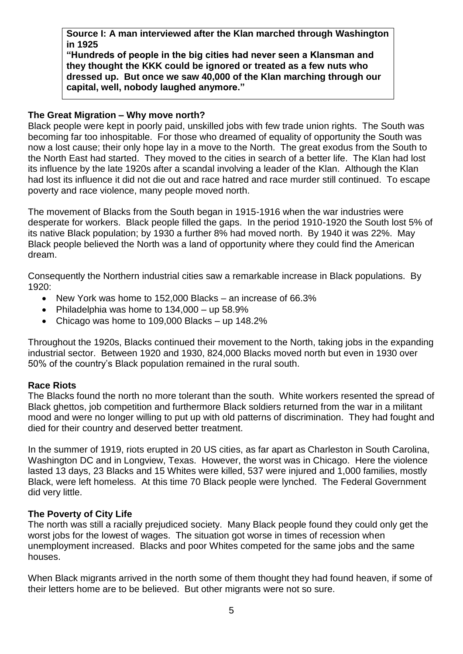**Source I: A man interviewed after the Klan marched through Washington in 1925**

**"Hundreds of people in the big cities had never seen a Klansman and they thought the KKK could be ignored or treated as a few nuts who dressed up. But once we saw 40,000 of the Klan marching through our capital, well, nobody laughed anymore."**

#### **The Great Migration – Why move north?**

Black people were kept in poorly paid, unskilled jobs with few trade union rights. The South was becoming far too inhospitable. For those who dreamed of equality of opportunity the South was now a lost cause; their only hope lay in a move to the North. The great exodus from the South to the North East had started. They moved to the cities in search of a better life. The Klan had lost its influence by the late 1920s after a scandal involving a leader of the Klan. Although the Klan had lost its influence it did not die out and race hatred and race murder still continued. To escape poverty and race violence, many people moved north.

The movement of Blacks from the South began in 1915-1916 when the war industries were desperate for workers. Black people filled the gaps. In the period 1910-1920 the South lost 5% of its native Black population; by 1930 a further 8% had moved north. By 1940 it was 22%. May Black people believed the North was a land of opportunity where they could find the American dream.

Consequently the Northern industrial cities saw a remarkable increase in Black populations. By 1920:

- New York was home to 152,000 Blacks an increase of 66.3%
- Philadelphia was home to  $134,000 -$ up  $58.9\%$
- Chicago was home to 109,000 Blacks up 148.2%

Throughout the 1920s, Blacks continued their movement to the North, taking jobs in the expanding industrial sector. Between 1920 and 1930, 824,000 Blacks moved north but even in 1930 over 50% of the country's Black population remained in the rural south.

#### **Race Riots**

The Blacks found the north no more tolerant than the south. White workers resented the spread of Black ghettos, job competition and furthermore Black soldiers returned from the war in a militant mood and were no longer willing to put up with old patterns of discrimination. They had fought and died for their country and deserved better treatment.

In the summer of 1919, riots erupted in 20 US cities, as far apart as Charleston in South Carolina, Washington DC and in Longview, Texas. However, the worst was in Chicago. Here the violence lasted 13 days, 23 Blacks and 15 Whites were killed, 537 were injured and 1,000 families, mostly Black, were left homeless. At this time 70 Black people were lynched. The Federal Government did very little.

#### **The Poverty of City Life**

The north was still a racially prejudiced society. Many Black people found they could only get the worst jobs for the lowest of wages. The situation got worse in times of recession when unemployment increased. Blacks and poor Whites competed for the same jobs and the same houses.

When Black migrants arrived in the north some of them thought they had found heaven, if some of their letters home are to be believed. But other migrants were not so sure.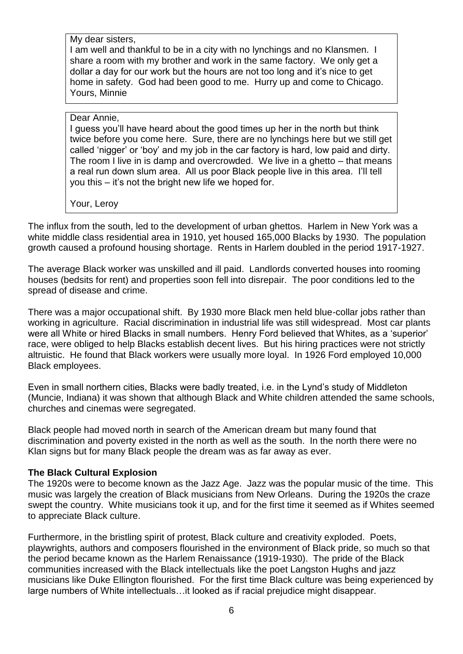My dear sisters,

I am well and thankful to be in a city with no lynchings and no Klansmen. I share a room with my brother and work in the same factory. We only get a dollar a day for our work but the hours are not too long and it's nice to get home in safety. God had been good to me. Hurry up and come to Chicago. Yours, Minnie

#### Dear Annie,

I guess you'll have heard about the good times up her in the north but think twice before you come here. Sure, there are no lynchings here but we still get called 'nigger' or 'boy' and my job in the car factory is hard, low paid and dirty. The room I live in is damp and overcrowded. We live in a ghetto – that means a real run down slum area. All us poor Black people live in this area. I'll tell you this – it's not the bright new life we hoped for.

Your, Leroy

The influx from the south, led to the development of urban ghettos. Harlem in New York was a white middle class residential area in 1910, yet housed 165,000 Blacks by 1930. The population growth caused a profound housing shortage. Rents in Harlem doubled in the period 1917-1927.

The average Black worker was unskilled and ill paid. Landlords converted houses into rooming houses (bedsits for rent) and properties soon fell into disrepair. The poor conditions led to the spread of disease and crime.

There was a major occupational shift. By 1930 more Black men held blue-collar jobs rather than working in agriculture. Racial discrimination in industrial life was still widespread. Most car plants were all White or hired Blacks in small numbers. Henry Ford believed that Whites, as a 'superior' race, were obliged to help Blacks establish decent lives. But his hiring practices were not strictly altruistic. He found that Black workers were usually more loyal. In 1926 Ford employed 10,000 Black employees.

Even in small northern cities, Blacks were badly treated, i.e. in the Lynd's study of Middleton (Muncie, Indiana) it was shown that although Black and White children attended the same schools, churches and cinemas were segregated.

Black people had moved north in search of the American dream but many found that discrimination and poverty existed in the north as well as the south. In the north there were no Klan signs but for many Black people the dream was as far away as ever.

#### **The Black Cultural Explosion**

The 1920s were to become known as the Jazz Age. Jazz was the popular music of the time. This music was largely the creation of Black musicians from New Orleans. During the 1920s the craze swept the country. White musicians took it up, and for the first time it seemed as if Whites seemed to appreciate Black culture.

Furthermore, in the bristling spirit of protest, Black culture and creativity exploded. Poets, playwrights, authors and composers flourished in the environment of Black pride, so much so that the period became known as the Harlem Renaissance (1919-1930). The pride of the Black communities increased with the Black intellectuals like the poet Langston Hughs and jazz musicians like Duke Ellington flourished. For the first time Black culture was being experienced by large numbers of White intellectuals…it looked as if racial prejudice might disappear.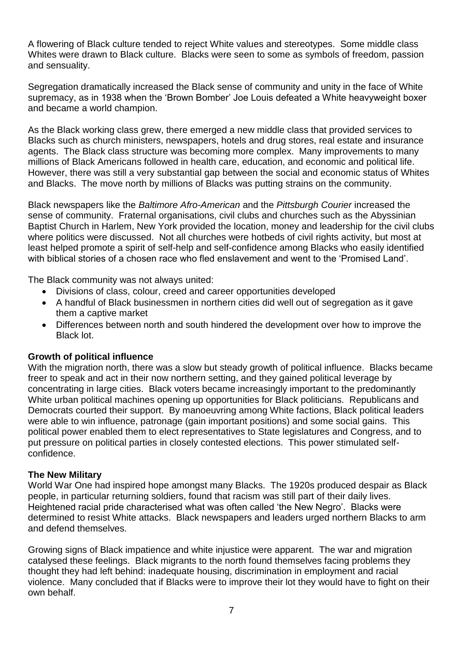A flowering of Black culture tended to reject White values and stereotypes. Some middle class Whites were drawn to Black culture. Blacks were seen to some as symbols of freedom, passion and sensuality.

Segregation dramatically increased the Black sense of community and unity in the face of White supremacy, as in 1938 when the 'Brown Bomber' Joe Louis defeated a White heavyweight boxer and became a world champion.

As the Black working class grew, there emerged a new middle class that provided services to Blacks such as church ministers, newspapers, hotels and drug stores, real estate and insurance agents. The Black class structure was becoming more complex. Many improvements to many millions of Black Americans followed in health care, education, and economic and political life. However, there was still a very substantial gap between the social and economic status of Whites and Blacks. The move north by millions of Blacks was putting strains on the community.

Black newspapers like the *Baltimore Afro-American* and the *Pittsburgh Courier* increased the sense of community. Fraternal organisations, civil clubs and churches such as the Abyssinian Baptist Church in Harlem, New York provided the location, money and leadership for the civil clubs where politics were discussed. Not all churches were hotbeds of civil rights activity, but most at least helped promote a spirit of self-help and self-confidence among Blacks who easily identified with biblical stories of a chosen race who fled enslavement and went to the 'Promised Land'.

The Black community was not always united:

- Divisions of class, colour, creed and career opportunities developed
- A handful of Black businessmen in northern cities did well out of segregation as it gave them a captive market
- Differences between north and south hindered the development over how to improve the Black lot.

#### **Growth of political influence**

With the migration north, there was a slow but steady growth of political influence. Blacks became freer to speak and act in their now northern setting, and they gained political leverage by concentrating in large cities. Black voters became increasingly important to the predominantly White urban political machines opening up opportunities for Black politicians. Republicans and Democrats courted their support. By manoeuvring among White factions, Black political leaders were able to win influence, patronage (gain important positions) and some social gains. This political power enabled them to elect representatives to State legislatures and Congress, and to put pressure on political parties in closely contested elections. This power stimulated selfconfidence.

#### **The New Military**

World War One had inspired hope amongst many Blacks. The 1920s produced despair as Black people, in particular returning soldiers, found that racism was still part of their daily lives. Heightened racial pride characterised what was often called 'the New Negro'. Blacks were determined to resist White attacks. Black newspapers and leaders urged northern Blacks to arm and defend themselves.

Growing signs of Black impatience and white injustice were apparent. The war and migration catalysed these feelings. Black migrants to the north found themselves facing problems they thought they had left behind: inadequate housing, discrimination in employment and racial violence. Many concluded that if Blacks were to improve their lot they would have to fight on their own behalf.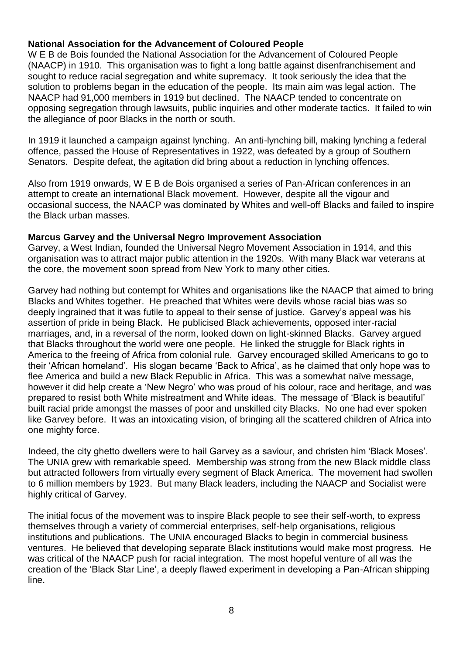#### **National Association for the Advancement of Coloured People**

W E B de Bois founded the National Association for the Advancement of Coloured People (NAACP) in 1910. This organisation was to fight a long battle against disenfranchisement and sought to reduce racial segregation and white supremacy. It took seriously the idea that the solution to problems began in the education of the people. Its main aim was legal action. The NAACP had 91,000 members in 1919 but declined. The NAACP tended to concentrate on opposing segregation through lawsuits, public inquiries and other moderate tactics. It failed to win the allegiance of poor Blacks in the north or south.

In 1919 it launched a campaign against lynching. An anti-lynching bill, making lynching a federal offence, passed the House of Representatives in 1922, was defeated by a group of Southern Senators. Despite defeat, the agitation did bring about a reduction in lynching offences.

Also from 1919 onwards, W E B de Bois organised a series of Pan-African conferences in an attempt to create an international Black movement. However, despite all the vigour and occasional success, the NAACP was dominated by Whites and well-off Blacks and failed to inspire the Black urban masses.

#### **Marcus Garvey and the Universal Negro Improvement Association**

Garvey, a West Indian, founded the Universal Negro Movement Association in 1914, and this organisation was to attract major public attention in the 1920s. With many Black war veterans at the core, the movement soon spread from New York to many other cities.

Garvey had nothing but contempt for Whites and organisations like the NAACP that aimed to bring Blacks and Whites together. He preached that Whites were devils whose racial bias was so deeply ingrained that it was futile to appeal to their sense of justice. Garvey's appeal was his assertion of pride in being Black. He publicised Black achievements, opposed inter-racial marriages, and, in a reversal of the norm, looked down on light-skinned Blacks. Garvey argued that Blacks throughout the world were one people. He linked the struggle for Black rights in America to the freeing of Africa from colonial rule. Garvey encouraged skilled Americans to go to their 'African homeland'. His slogan became 'Back to Africa', as he claimed that only hope was to flee America and build a new Black Republic in Africa. This was a somewhat naïve message, however it did help create a 'New Negro' who was proud of his colour, race and heritage, and was prepared to resist both White mistreatment and White ideas. The message of 'Black is beautiful' built racial pride amongst the masses of poor and unskilled city Blacks. No one had ever spoken like Garvey before. It was an intoxicating vision, of bringing all the scattered children of Africa into one mighty force.

Indeed, the city ghetto dwellers were to hail Garvey as a saviour, and christen him 'Black Moses'. The UNIA grew with remarkable speed. Membership was strong from the new Black middle class but attracted followers from virtually every segment of Black America. The movement had swollen to 6 million members by 1923. But many Black leaders, including the NAACP and Socialist were highly critical of Garvey.

The initial focus of the movement was to inspire Black people to see their self-worth, to express themselves through a variety of commercial enterprises, self-help organisations, religious institutions and publications. The UNIA encouraged Blacks to begin in commercial business ventures. He believed that developing separate Black institutions would make most progress. He was critical of the NAACP push for racial integration. The most hopeful venture of all was the creation of the 'Black Star Line', a deeply flawed experiment in developing a Pan-African shipping line.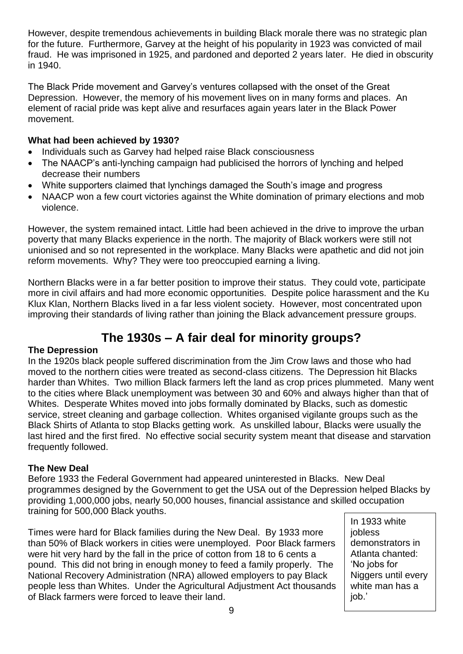However, despite tremendous achievements in building Black morale there was no strategic plan for the future. Furthermore, Garvey at the height of his popularity in 1923 was convicted of mail fraud. He was imprisoned in 1925, and pardoned and deported 2 years later. He died in obscurity in 1940.

The Black Pride movement and Garvey's ventures collapsed with the onset of the Great Depression. However, the memory of his movement lives on in many forms and places. An element of racial pride was kept alive and resurfaces again years later in the Black Power movement.

#### **What had been achieved by 1930?**

- Individuals such as Garvey had helped raise Black consciousness
- The NAACP's anti-lynching campaign had publicised the horrors of lynching and helped decrease their numbers
- White supporters claimed that lynchings damaged the South's image and progress
- NAACP won a few court victories against the White domination of primary elections and mob violence.

However, the system remained intact. Little had been achieved in the drive to improve the urban poverty that many Blacks experience in the north. The majority of Black workers were still not unionised and so not represented in the workplace. Many Blacks were apathetic and did not join reform movements. Why? They were too preoccupied earning a living.

Northern Blacks were in a far better position to improve their status. They could vote, participate more in civil affairs and had more economic opportunities. Despite police harassment and the Ku Klux Klan, Northern Blacks lived in a far less violent society. However, most concentrated upon improving their standards of living rather than joining the Black advancement pressure groups.

# **The 1930s – A fair deal for minority groups?**

#### **The Depression**

In the 1920s black people suffered discrimination from the Jim Crow laws and those who had moved to the northern cities were treated as second-class citizens. The Depression hit Blacks harder than Whites. Two million Black farmers left the land as crop prices plummeted. Many went to the cities where Black unemployment was between 30 and 60% and always higher than that of Whites. Desperate Whites moved into jobs formally dominated by Blacks, such as domestic service, street cleaning and garbage collection. Whites organised vigilante groups such as the Black Shirts of Atlanta to stop Blacks getting work. As unskilled labour, Blacks were usually the last hired and the first fired. No effective social security system meant that disease and starvation frequently followed.

#### **The New Deal**

Before 1933 the Federal Government had appeared uninterested in Blacks. New Deal programmes designed by the Government to get the USA out of the Depression helped Blacks by providing 1,000,000 jobs, nearly 50,000 houses, financial assistance and skilled occupation training for 500,000 Black youths.

Times were hard for Black families during the New Deal. By 1933 more than 50% of Black workers in cities were unemployed. Poor Black farmers were hit very hard by the fall in the price of cotton from 18 to 6 cents a pound. This did not bring in enough money to feed a family properly. The National Recovery Administration (NRA) allowed employers to pay Black people less than Whites. Under the Agricultural Adjustment Act thousands of Black farmers were forced to leave their land.

In 1933 white jobless demonstrators in Atlanta chanted: 'No jobs for Niggers until every white man has a job.'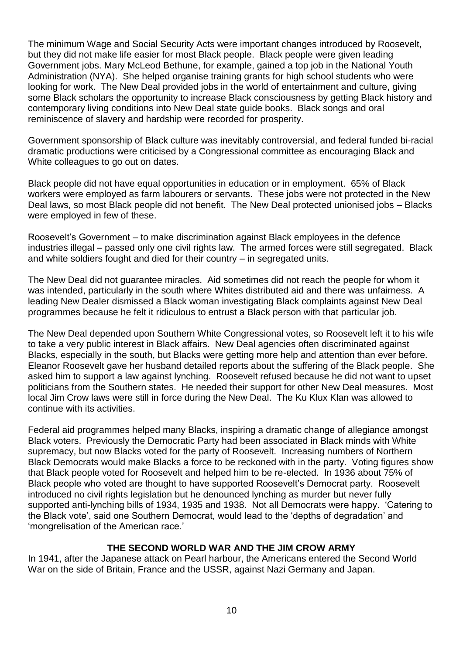The minimum Wage and Social Security Acts were important changes introduced by Roosevelt, but they did not make life easier for most Black people. Black people were given leading Government jobs. Mary McLeod Bethune, for example, gained a top job in the National Youth Administration (NYA). She helped organise training grants for high school students who were looking for work. The New Deal provided jobs in the world of entertainment and culture, giving some Black scholars the opportunity to increase Black consciousness by getting Black history and contemporary living conditions into New Deal state guide books. Black songs and oral reminiscence of slavery and hardship were recorded for prosperity.

Government sponsorship of Black culture was inevitably controversial, and federal funded bi-racial dramatic productions were criticised by a Congressional committee as encouraging Black and White colleagues to go out on dates.

Black people did not have equal opportunities in education or in employment. 65% of Black workers were employed as farm labourers or servants. These jobs were not protected in the New Deal laws, so most Black people did not benefit. The New Deal protected unionised jobs – Blacks were employed in few of these.

Roosevelt's Government – to make discrimination against Black employees in the defence industries illegal – passed only one civil rights law. The armed forces were still segregated. Black and white soldiers fought and died for their country – in segregated units.

The New Deal did not guarantee miracles. Aid sometimes did not reach the people for whom it was intended, particularly in the south where Whites distributed aid and there was unfairness. A leading New Dealer dismissed a Black woman investigating Black complaints against New Deal programmes because he felt it ridiculous to entrust a Black person with that particular job.

The New Deal depended upon Southern White Congressional votes, so Roosevelt left it to his wife to take a very public interest in Black affairs. New Deal agencies often discriminated against Blacks, especially in the south, but Blacks were getting more help and attention than ever before. Eleanor Roosevelt gave her husband detailed reports about the suffering of the Black people. She asked him to support a law against lynching. Roosevelt refused because he did not want to upset politicians from the Southern states. He needed their support for other New Deal measures. Most local Jim Crow laws were still in force during the New Deal. The Ku Klux Klan was allowed to continue with its activities.

Federal aid programmes helped many Blacks, inspiring a dramatic change of allegiance amongst Black voters. Previously the Democratic Party had been associated in Black minds with White supremacy, but now Blacks voted for the party of Roosevelt. Increasing numbers of Northern Black Democrats would make Blacks a force to be reckoned with in the party. Voting figures show that Black people voted for Roosevelt and helped him to be re-elected. In 1936 about 75% of Black people who voted are thought to have supported Roosevelt's Democrat party. Roosevelt introduced no civil rights legislation but he denounced lynching as murder but never fully supported anti-lynching bills of 1934, 1935 and 1938. Not all Democrats were happy. 'Catering to the Black vote', said one Southern Democrat, would lead to the 'depths of degradation' and 'mongrelisation of the American race.'

#### **THE SECOND WORLD WAR AND THE JIM CROW ARMY**

In 1941, after the Japanese attack on Pearl harbour, the Americans entered the Second World War on the side of Britain, France and the USSR, against Nazi Germany and Japan.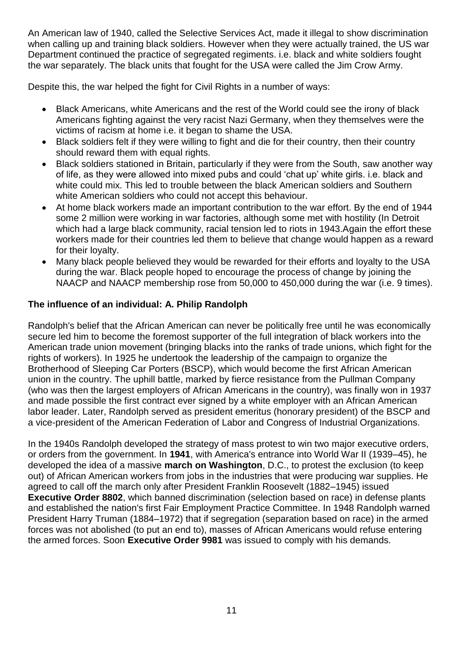An American law of 1940, called the Selective Services Act, made it illegal to show discrimination when calling up and training black soldiers. However when they were actually trained, the US war Department continued the practice of segregated regiments. i.e. black and white soldiers fought the war separately. The black units that fought for the USA were called the Jim Crow Army.

Despite this, the war helped the fight for Civil Rights in a number of ways:

- Black Americans, white Americans and the rest of the World could see the irony of black Americans fighting against the very racist Nazi Germany, when they themselves were the victims of racism at home i.e. it began to shame the USA.
- Black soldiers felt if they were willing to fight and die for their country, then their country should reward them with equal rights.
- Black soldiers stationed in Britain, particularly if they were from the South, saw another way of life, as they were allowed into mixed pubs and could 'chat up' white girls. i.e. black and white could mix. This led to trouble between the black American soldiers and Southern white American soldiers who could not accept this behaviour.
- At home black workers made an important contribution to the war effort. By the end of 1944 some 2 million were working in war factories, although some met with hostility (In Detroit which had a large black community, racial tension led to riots in 1943. Again the effort these workers made for their countries led them to believe that change would happen as a reward for their loyalty.
- Many black people believed they would be rewarded for their efforts and loyalty to the USA during the war. Black people hoped to encourage the process of change by joining the NAACP and NAACP membership rose from 50,000 to 450,000 during the war (i.e. 9 times).

#### **The influence of an individual: A. Philip Randolph**

Randolph's belief that the African American can never be politically free until he was economically secure led him to become the foremost supporter of the full integration of black workers into the American trade union movement (bringing blacks into the ranks of trade unions, which fight for the rights of workers). In 1925 he undertook the leadership of the campaign to organize the Brotherhood of Sleeping Car Porters (BSCP), which would become the first African American union in the country. The uphill battle, marked by fierce resistance from the Pullman Company (who was then the largest employers of African Americans in the country), was finally won in 1937 and made possible the first contract ever signed by a white employer with an African American labor leader. Later, Randolph served as president emeritus (honorary president) of the BSCP and a vice-president of the American Federation of Labor and Congress of Industrial Organizations.

In the 1940s Randolph developed the strategy of mass protest to win two major executive orders, or orders from the government. In **1941**, with America's entrance into World War II (1939–45), he developed the idea of a massive **march on Washington**, D.C., to protest the exclusion (to keep out) of African American workers from jobs in the industries that were producing war supplies. He agreed to call off the march only after President Franklin Roosevelt (1882–1945) issued **Executive Order 8802**, which banned discrimination (selection based on race) in defense plants and established the nation's first Fair Employment Practice Committee. In 1948 Randolph warned President Harry Truman (1884–1972) that if segregation (separation based on race) in the armed forces was not abolished (to put an end to), masses of African Americans would refuse entering the armed forces. Soon **Executive Order 9981** was issued to comply with his demands.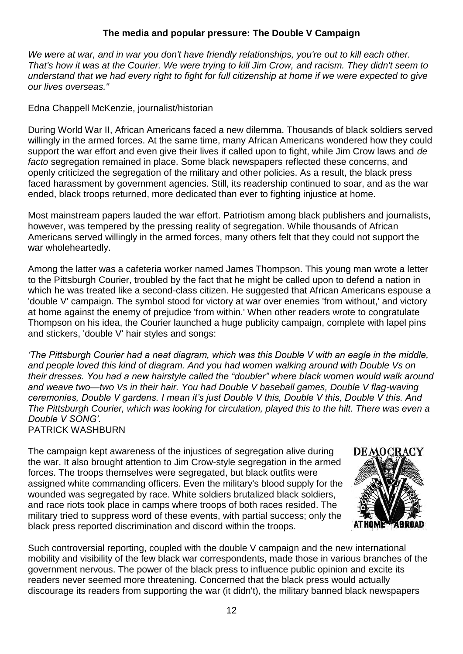#### **The media and popular pressure: The Double V Campaign**

*We were at war, and in war you don't have friendly relationships, you're out to kill each other. That's how it was at the Courier. We were trying to kill Jim Crow, and racism. They didn't seem to understand that we had every right to fight for full citizenship at home if we were expected to give our lives overseas."*

Edna Chappell McKenzie, journalist/historian

During World War II, African Americans faced a new dilemma. Thousands of black soldiers served willingly in the armed forces. At the same time, many African Americans wondered how they could support the war effort and even give their lives if called upon to fight, while Jim Crow laws and *de facto* segregation remained in place. Some black newspapers reflected these concerns, and openly criticized the segregation of the military and other policies. As a result, the black press faced harassment by government agencies. Still, its readership continued to soar, and as the war ended, black troops returned, more dedicated than ever to fighting injustice at home.

Most mainstream papers lauded the war effort. Patriotism among black publishers and journalists, however, was tempered by the pressing reality of segregation. While thousands of African Americans served willingly in the armed forces, many others felt that they could not support the war wholeheartedly.

Among the latter was a cafeteria worker named James Thompson. This young man wrote a letter to the Pittsburgh Courier, troubled by the fact that he might be called upon to defend a nation in which he was treated like a second-class citizen. He suggested that African Americans espouse a 'double V' campaign. The symbol stood for victory at war over enemies 'from without,' and victory at home against the enemy of prejudice 'from within.' When other readers wrote to congratulate Thompson on his idea, the Courier launched a huge publicity campaign, complete with lapel pins and stickers, 'double V' hair styles and songs:

*'The Pittsburgh Courier had a neat diagram, which was this Double V with an eagle in the middle, and people loved this kind of diagram. And you had women walking around with Double Vs on their dresses. You had a new hairstyle called the "doubler" where black women would walk around and weave two—two Vs in their hair. You had Double V baseball games, Double V flag-waving ceremonies, Double V gardens. I mean it's just Double V this, Double V this, Double V this. And The Pittsburgh Courier, which was looking for circulation, played this to the hilt. There was even a Double V SONG'.* PATRICK WASHBURN

The campaign kept awareness of the injustices of segregation alive during the war. It also brought attention to Jim Crow-style segregation in the armed forces. The troops themselves were segregated, but black outfits were assigned white commanding officers. Even the military's blood supply for the wounded was segregated by race. White soldiers brutalized black soldiers, and race riots took place in camps where troops of both races resided. The military tried to suppress word of these events, with partial success; only the black press reported discrimination and discord within the troops.



Such controversial reporting, coupled with the double V campaign and the new international mobility and visibility of the few black war correspondents, made those in various branches of the government nervous. The power of the black press to influence public opinion and excite its readers never seemed more threatening. Concerned that the black press would actually discourage its readers from supporting the war (it didn't), the military banned black newspapers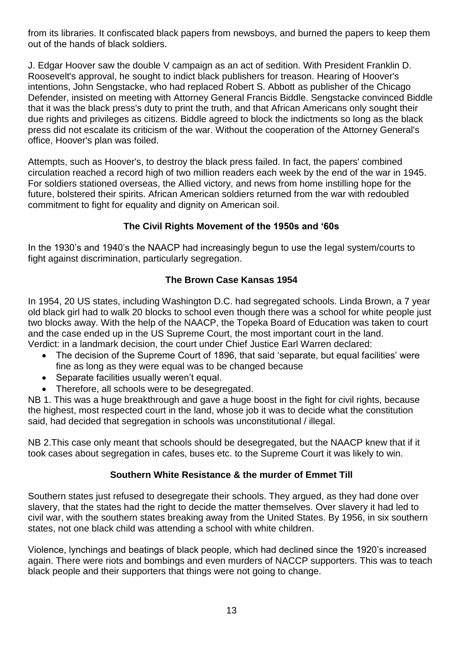from its libraries. It confiscated black papers from newsboys, and burned the papers to keep them out of the hands of black soldiers.

J. Edgar Hoover saw the double V campaign as an act of sedition. With President Franklin D. Roosevelt's approval, he sought to indict black publishers for treason. Hearing of Hoover's intentions, John Sengstacke, who had replaced Robert S. Abbott as publisher of the Chicago Defender, insisted on meeting with Attorney General Francis Biddle. Sengstacke convinced Biddle that it was the black press's duty to print the truth, and that African Americans only sought their due rights and privileges as citizens. Biddle agreed to block the indictments so long as the black press did not escalate its criticism of the war. Without the cooperation of the Attorney General's office, Hoover's plan was foiled.

Attempts, such as Hoover's, to destroy the black press failed. In fact, the papers' combined circulation reached a record high of two million readers each week by the end of the war in 1945. For soldiers stationed overseas, the Allied victory, and news from home instilling hope for the future, bolstered their spirits. African American soldiers returned from the war with redoubled commitment to fight for equality and dignity on American soil.

# **The Civil Rights Movement of the 1950s and '60s**

In the 1930's and 1940's the NAACP had increasingly begun to use the legal system/courts to fight against discrimination, particularly segregation.

#### **The Brown Case Kansas 1954**

In 1954, 20 US states, including Washington D.C. had segregated schools. Linda Brown, a 7 year old black girl had to walk 20 blocks to school even though there was a school for white people just two blocks away. With the help of the NAACP, the Topeka Board of Education was taken to court and the case ended up in the US Supreme Court, the most important court in the land.

Verdict: in a landmark decision, the court under Chief Justice Earl Warren declared:

- The decision of the Supreme Court of 1896, that said 'separate, but equal facilities' were fine as long as they were equal was to be changed because
- Separate facilities usually weren't equal.
- Therefore, all schools were to be desegregated.

NB 1. This was a huge breakthrough and gave a huge boost in the fight for civil rights, because the highest, most respected court in the land, whose job it was to decide what the constitution said, had decided that segregation in schools was unconstitutional / illegal.

NB 2.This case only meant that schools should be desegregated, but the NAACP knew that if it took cases about segregation in cafes, buses etc. to the Supreme Court it was likely to win.

#### **Southern White Resistance & the murder of Emmet Till**

Southern states just refused to desegregate their schools. They argued, as they had done over slavery, that the states had the right to decide the matter themselves. Over slavery it had led to civil war, with the southern states breaking away from the United States. By 1956, in six southern states, not one black child was attending a school with white children.

Violence, lynchings and beatings of black people, which had declined since the 1920's increased again. There were riots and bombings and even murders of NACCP supporters. This was to teach black people and their supporters that things were not going to change.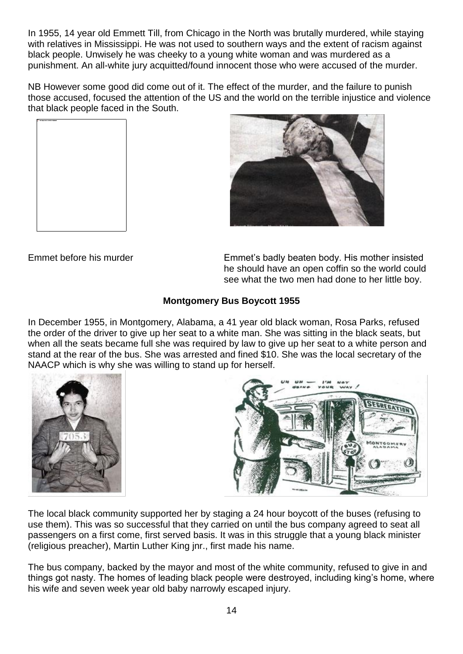In 1955, 14 year old Emmett Till, from Chicago in the North was brutally murdered, while staying with relatives in Mississippi. He was not used to southern ways and the extent of racism against black people. Unwisely he was cheeky to a young white woman and was murdered as a punishment. An all-white jury acquitted/found innocent those who were accused of the murder.

NB However some good did come out of it. The effect of the murder, and the failure to punish those accused, focused the attention of the US and the world on the terrible injustice and violence that black people faced in the South.





Emmet before his murder Emmet's badly beaten body. His mother insisted he should have an open coffin so the world could see what the two men had done to her little boy.

#### **Montgomery Bus Boycott 1955**

In December 1955, in Montgomery, Alabama, a 41 year old black woman, Rosa Parks, refused the order of the driver to give up her seat to a white man. She was sitting in the black seats, but when all the seats became full she was required by law to give up her seat to a white person and stand at the rear of the bus. She was arrested and fined \$10. She was the local secretary of the NAACP which is why she was willing to stand up for herself.





The local black community supported her by staging a 24 hour boycott of the buses (refusing to use them). This was so successful that they carried on until the bus company agreed to seat all passengers on a first come, first served basis. It was in this struggle that a young black minister (religious preacher), Martin Luther King jnr., first made his name.

The bus company, backed by the mayor and most of the white community, refused to give in and things got nasty. The homes of leading black people were destroyed, including king's home, where his wife and seven week year old baby narrowly escaped injury.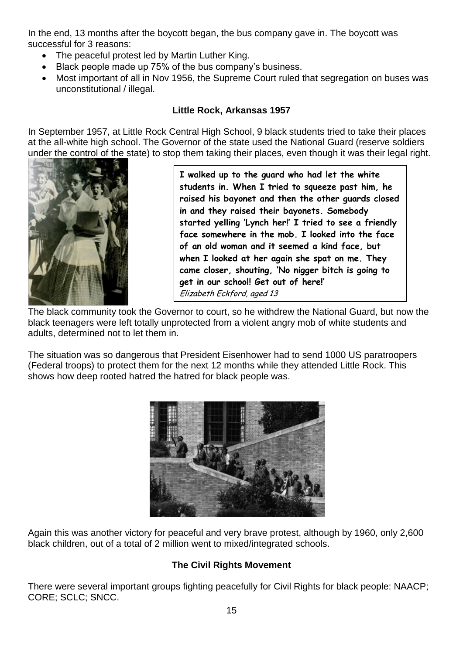In the end, 13 months after the boycott began, the bus company gave in. The boycott was successful for 3 reasons:

- The peaceful protest led by Martin Luther King.
- Black people made up 75% of the bus company's business.
- Most important of all in Nov 1956, the Supreme Court ruled that segregation on buses was unconstitutional / illegal.

# **Little Rock, Arkansas 1957**

In September 1957, at Little Rock Central High School, 9 black students tried to take their places at the all-white high school. The Governor of the state used the National Guard (reserve soldiers under the control of the state) to stop them taking their places, even though it was their legal right.



**I walked up to the guard who had let the white students in. When I tried to squeeze past him, he raised his bayonet and then the other guards closed in and they raised their bayonets. Somebody started yelling 'Lynch her!' I tried to see a friendly face somewhere in the mob. I looked into the face of an old woman and it seemed a kind face, but when I looked at her again she spat on me. They came closer, shouting, 'No nigger bitch is going to get in our school! Get out of here!'** Elizabeth Eckford, aged 13

The black community took the Governor to court, so he withdrew the National Guard, but now the black teenagers were left totally unprotected from a violent angry mob of white students and adults, determined not to let them in.

The situation was so dangerous that President Eisenhower had to send 1000 US paratroopers (Federal troops) to protect them for the next 12 months while they attended Little Rock. This shows how deep rooted hatred the hatred for black people was.



Again this was another victory for peaceful and very brave protest, although by 1960, only 2,600 black children, out of a total of 2 million went to mixed/integrated schools.

# **The Civil Rights Movement**

There were several important groups fighting peacefully for Civil Rights for black people: NAACP; CORE; SCLC; SNCC.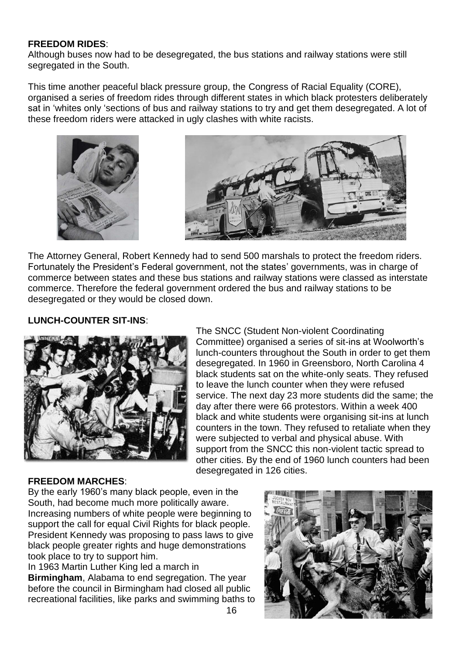#### **FREEDOM RIDES**:

Although buses now had to be desegregated, the bus stations and railway stations were still segregated in the South.

This time another peaceful black pressure group, the Congress of Racial Equality (CORE), organised a series of freedom rides through different states in which black protesters deliberately sat in 'whites only 'sections of bus and railway stations to try and get them desegregated. A lot of these freedom riders were attacked in ugly clashes with white racists.





The Attorney General, Robert Kennedy had to send 500 marshals to protect the freedom riders. Fortunately the President's Federal government, not the states' governments, was in charge of commerce between states and these bus stations and railway stations were classed as interstate commerce. Therefore the federal government ordered the bus and railway stations to be desegregated or they would be closed down.

#### **LUNCH-COUNTER SIT-INS**:



The SNCC (Student Non-violent Coordinating Committee) organised a series of sit-ins at Woolworth's lunch-counters throughout the South in order to get them desegregated. In 1960 in Greensboro, North Carolina 4 black students sat on the white-only seats. They refused to leave the lunch counter when they were refused service. The next day 23 more students did the same; the day after there were 66 protestors. Within a week 400 black and white students were organising sit-ins at lunch counters in the town. They refused to retaliate when they were subjected to verbal and physical abuse. With support from the SNCC this non-violent tactic spread to other cities. By the end of 1960 lunch counters had been desegregated in 126 cities.

#### **FREEDOM MARCHES**:

By the early 1960's many black people, even in the South, had become much more politically aware. Increasing numbers of white people were beginning to support the call for equal Civil Rights for black people. President Kennedy was proposing to pass laws to give black people greater rights and huge demonstrations took place to try to support him.

In 1963 Martin Luther King led a march in **Birmingham**, Alabama to end segregation. The year before the council in Birmingham had closed all public recreational facilities, like parks and swimming baths to

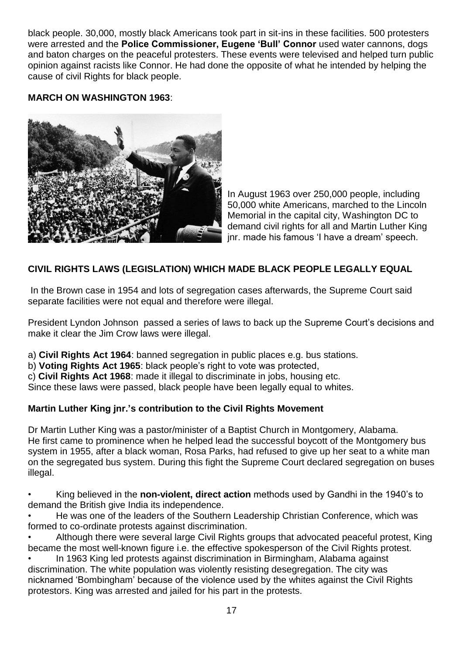black people. 30,000, mostly black Americans took part in sit-ins in these facilities. 500 protesters were arrested and the **Police Commissioner, Eugene 'Bull' Connor** used water cannons, dogs and baton charges on the peaceful protesters. These events were televised and helped turn public opinion against racists like Connor. He had done the opposite of what he intended by helping the cause of civil Rights for black people.

#### **MARCH ON WASHINGTON 1963**:



In August 1963 over 250,000 people, including 50,000 white Americans, marched to the Lincoln Memorial in the capital city, Washington DC to demand civil rights for all and Martin Luther King jnr. made his famous 'I have a dream' speech.

# **CIVIL RIGHTS LAWS (LEGISLATION) WHICH MADE BLACK PEOPLE LEGALLY EQUAL**

In the Brown case in 1954 and lots of segregation cases afterwards, the Supreme Court said separate facilities were not equal and therefore were illegal.

President Lyndon Johnson passed a series of laws to back up the Supreme Court's decisions and make it clear the Jim Crow laws were illegal.

a) **Civil Rights Act 1964**: banned segregation in public places e.g. bus stations.

b) **Voting Rights Act 1965**: black people's right to vote was protected,

c) **Civil Rights Act 1968**: made it illegal to discriminate in jobs, housing etc.

Since these laws were passed, black people have been legally equal to whites.

#### **Martin Luther King jnr.'s contribution to the Civil Rights Movement**

Dr Martin Luther King was a pastor/minister of a Baptist Church in Montgomery, Alabama. He first came to prominence when he helped lead the successful boycott of the Montgomery bus system in 1955, after a black woman, Rosa Parks, had refused to give up her seat to a white man on the segregated bus system. During this fight the Supreme Court declared segregation on buses illegal.

• King believed in the **non-violent, direct action** methods used by Gandhi in the 1940's to demand the British give India its independence.

• He was one of the leaders of the Southern Leadership Christian Conference, which was formed to co-ordinate protests against discrimination.

• Although there were several large Civil Rights groups that advocated peaceful protest, King became the most well-known figure i.e. the effective spokesperson of the Civil Rights protest.

• In 1963 King led protests against discrimination in Birmingham, Alabama against discrimination. The white population was violently resisting desegregation. The city was nicknamed 'Bombingham' because of the violence used by the whites against the Civil Rights protestors. King was arrested and jailed for his part in the protests.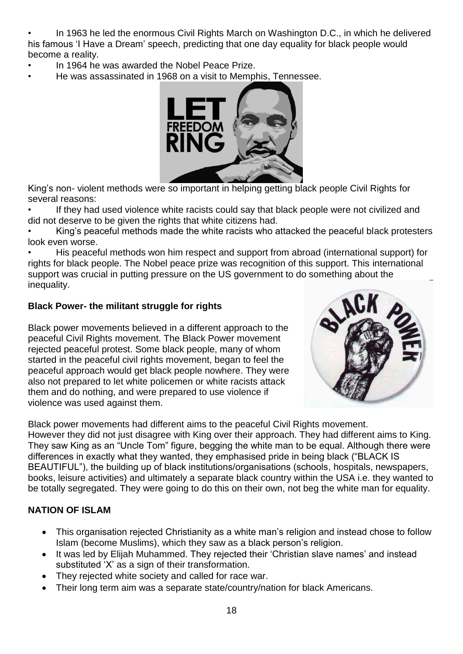• In 1963 he led the enormous Civil Rights March on Washington D.C., in which he delivered his famous 'I Have a Dream' speech, predicting that one day equality for black people would become a reality.

- In 1964 he was awarded the Nobel Peace Prize.
- He was assassinated in 1968 on a visit to Memphis, Tennessee.



King's non- violent methods were so important in helping getting black people Civil Rights for several reasons:

If they had used violence white racists could say that black people were not civilized and did not deserve to be given the rights that white citizens had.

• King's peaceful methods made the white racists who attacked the peaceful black protesters look even worse.

• His peaceful methods won him respect and support from abroad (international support) for rights for black people. The Nobel peace prize was recognition of this support. This international support was crucial in putting pressure on the US government to do something about the inequality.

# **Black Power- the militant struggle for rights**

Black power movements believed in a different approach to the peaceful Civil Rights movement. The Black Power movement rejected peaceful protest. Some black people, many of whom started in the peaceful civil rights movement, began to feel the peaceful approach would get black people nowhere. They were also not prepared to let white policemen or white racists attack them and do nothing, and were prepared to use violence if violence was used against them.



Black power movements had different aims to the peaceful Civil Rights movement. However they did not just disagree with King over their approach. They had different aims to King. They saw King as an "Uncle Tom" figure, begging the white man to be equal. Although there were differences in exactly what they wanted, they emphasised pride in being black ("BLACK IS BEAUTIFUL"), the building up of black institutions/organisations (schools, hospitals, newspapers, books, leisure activities) and ultimately a separate black country within the USA i.e. they wanted to be totally segregated. They were going to do this on their own, not beg the white man for equality.

# **NATION OF ISLAM**

- This organisation rejected Christianity as a white man's religion and instead chose to follow Islam (become Muslims), which they saw as a black person's religion.
- It was led by Elijah Muhammed. They rejected their 'Christian slave names' and instead substituted 'X' as a sign of their transformation.
- They rejected white society and called for race war.
- Their long term aim was a separate state/country/nation for black Americans.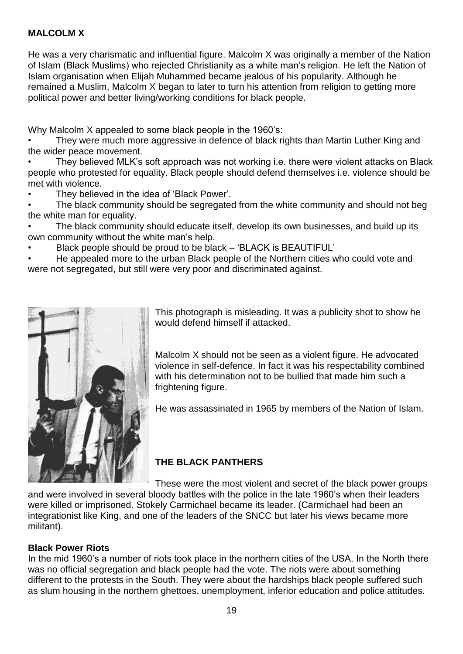#### **MALCOLM X**

He was a very charismatic and influential figure. Malcolm X was originally a member of the Nation of Islam (Black Muslims) who rejected Christianity as a white man's religion. He left the Nation of Islam organisation when Elijah Muhammed became jealous of his popularity. Although he remained a Muslim, Malcolm X began to later to turn his attention from religion to getting more political power and better living/working conditions for black people.

Why Malcolm X appealed to some black people in the 1960's:

They were much more aggressive in defence of black rights than Martin Luther King and the wider peace movement.

• They believed MLK's soft approach was not working i.e. there were violent attacks on Black people who protested for equality. Black people should defend themselves i.e. violence should be met with violence.

• They believed in the idea of 'Black Power'.

The black community should be segregated from the white community and should not beg the white man for equality.

• The black community should educate itself, develop its own businesses, and build up its own community without the white man's help.

• Black people should be proud to be black – 'BLACK is BEAUTIFUL'

• He appealed more to the urban Black people of the Northern cities who could vote and were not segregated, but still were very poor and discriminated against.



This photograph is misleading. It was a publicity shot to show he would defend himself if attacked.

Malcolm X should not be seen as a violent figure. He advocated violence in self-defence. In fact it was his respectability combined with his determination not to be bullied that made him such a frightening figure.

He was assassinated in 1965 by members of the Nation of Islam.

# **THE BLACK PANTHERS**

These were the most violent and secret of the black power groups and were involved in several bloody battles with the police in the late 1960's when their leaders were killed or imprisoned. Stokely Carmichael became its leader. (Carmichael had been an integrationist like King, and one of the leaders of the SNCC but later his views became more militant).

#### **Black Power Riots**

In the mid 1960's a number of riots took place in the northern cities of the USA. In the North there was no official segregation and black people had the vote. The riots were about something different to the protests in the South. They were about the hardships black people suffered such as slum housing in the northern ghettoes, unemployment, inferior education and police attitudes.